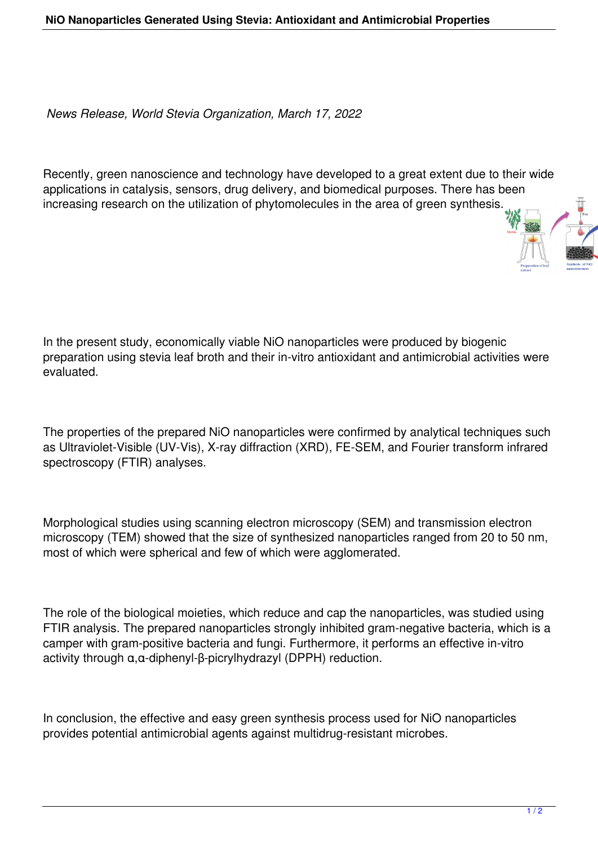*News Release, World Stevia Organization, March 17, 2022*

Recently, green nanoscience and technology have developed to a great extent due to their wide applications in catalysis, sensors, drug delivery, and biomedical purposes. There has been increasing research on the utilization of phytomolecules in the area of green synthesis.

In the present study, economically viable NiO nanoparticles were produced by biogenic preparation using stevia leaf broth and their in-vitro antioxidant and antimicrobial activities were evaluated.

The properties of the prepared NiO nanoparticles were confirmed by analytical techniques such as Ultraviolet-Visible (UV-Vis), X-ray diffraction (XRD), FE-SEM, and Fourier transform infrared spectroscopy (FTIR) analyses.

Morphological studies using scanning electron microscopy (SEM) and transmission electron microscopy (TEM) showed that the size of synthesized nanoparticles ranged from 20 to 50 nm, most of which were spherical and few of which were agglomerated.

The role of the biological moieties, which reduce and cap the nanoparticles, was studied using FTIR analysis. The prepared nanoparticles strongly inhibited gram-negative bacteria, which is a camper with gram-positive bacteria and fungi. Furthermore, it performs an effective in-vitro activity through α,α-diphenyl-β-picrylhydrazyl (DPPH) reduction.

In conclusion, the effective and easy green synthesis process used for NiO nanoparticles provides potential antimicrobial agents against multidrug-resistant microbes.